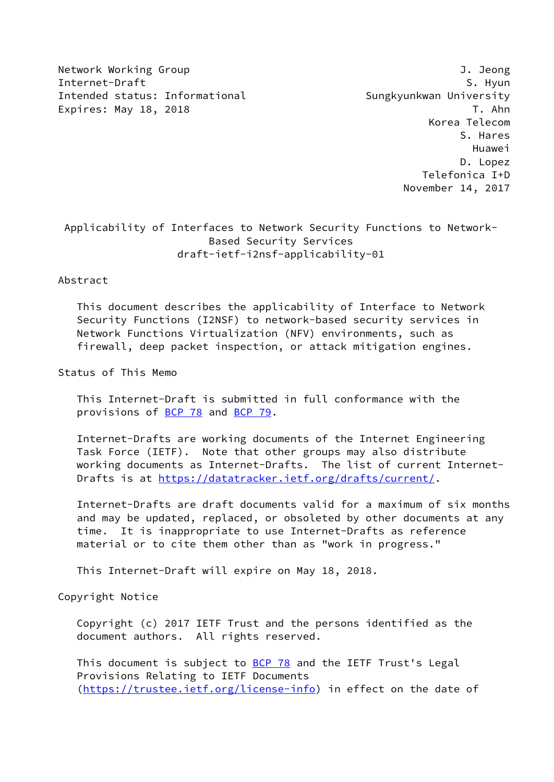Network Working Group J. Jeong Internet-Draft S. Hyun Intended status: Informational Sungkyunkwan University Expires: May 18, 2018 T. Ahn

 Korea Telecom S. Hares Huawei D. Lopez Telefonica I+D November 14, 2017

# Applicability of Interfaces to Network Security Functions to Network- Based Security Services draft-ietf-i2nsf-applicability-01

#### Abstract

 This document describes the applicability of Interface to Network Security Functions (I2NSF) to network-based security services in Network Functions Virtualization (NFV) environments, such as firewall, deep packet inspection, or attack mitigation engines.

Status of This Memo

 This Internet-Draft is submitted in full conformance with the provisions of [BCP 78](https://datatracker.ietf.org/doc/pdf/bcp78) and [BCP 79](https://datatracker.ietf.org/doc/pdf/bcp79).

 Internet-Drafts are working documents of the Internet Engineering Task Force (IETF). Note that other groups may also distribute working documents as Internet-Drafts. The list of current Internet- Drafts is at<https://datatracker.ietf.org/drafts/current/>.

 Internet-Drafts are draft documents valid for a maximum of six months and may be updated, replaced, or obsoleted by other documents at any time. It is inappropriate to use Internet-Drafts as reference material or to cite them other than as "work in progress."

This Internet-Draft will expire on May 18, 2018.

Copyright Notice

 Copyright (c) 2017 IETF Trust and the persons identified as the document authors. All rights reserved.

This document is subject to **[BCP 78](https://datatracker.ietf.org/doc/pdf/bcp78)** and the IETF Trust's Legal Provisions Relating to IETF Documents [\(https://trustee.ietf.org/license-info](https://trustee.ietf.org/license-info)) in effect on the date of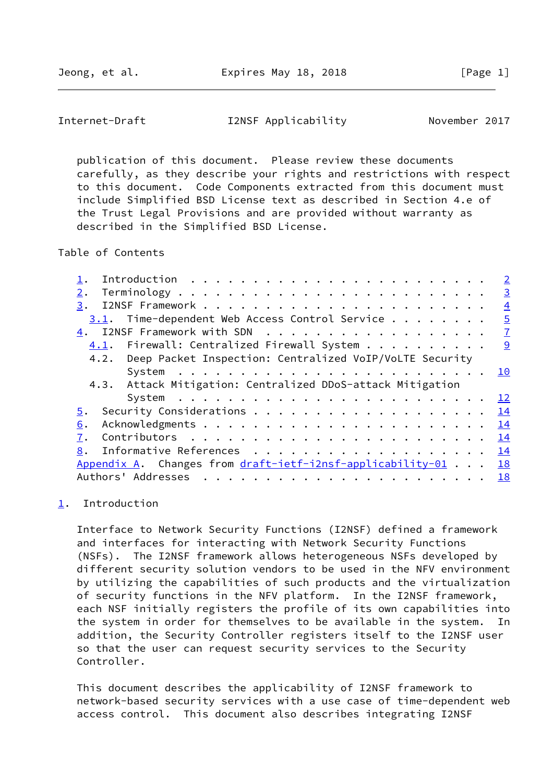<span id="page-1-1"></span>Internet-Draft I2NSF Applicability November 2017

 publication of this document. Please review these documents carefully, as they describe your rights and restrictions with respect to this document. Code Components extracted from this document must include Simplified BSD License text as described in Section 4.e of the Trust Legal Provisions and are provided without warranty as described in the Simplified BSD License.

Table of Contents

|                                                                         | $\overline{2}$ |
|-------------------------------------------------------------------------|----------------|
| 2.                                                                      | $\overline{3}$ |
| 3.                                                                      | $\overline{4}$ |
| 3.1. Time-dependent Web Access Control Service                          | $\overline{5}$ |
|                                                                         | $\mathbf{Z}$   |
| 4.1. Firewall: Centralized Firewall System 9                            |                |
| 4.2. Deep Packet Inspection: Centralized VoIP/VoLTE Security            |                |
| System $\ldots \ldots \ldots \ldots \ldots \ldots \ldots \ldots \ldots$ | 10             |
| 4.3. Attack Mitigation: Centralized DDoS-attack Mitigation              |                |
| System $\ldots \ldots \ldots \ldots \ldots \ldots \ldots \ldots \ldots$ | <u> 12</u>     |
| 5.                                                                      | 14             |
| 6.                                                                      | 14             |
| 7.                                                                      | 14             |
| 8.                                                                      | 14             |
| Appendix A. Changes from draft-ietf-i2nsf-applicability-01              | <b>18</b>      |
| Authors' Addresses                                                      | 18             |

#### <span id="page-1-0"></span>[1](#page-1-0). Introduction

 Interface to Network Security Functions (I2NSF) defined a framework and interfaces for interacting with Network Security Functions (NSFs). The I2NSF framework allows heterogeneous NSFs developed by different security solution vendors to be used in the NFV environment by utilizing the capabilities of such products and the virtualization of security functions in the NFV platform. In the I2NSF framework, each NSF initially registers the profile of its own capabilities into the system in order for themselves to be available in the system. In addition, the Security Controller registers itself to the I2NSF user so that the user can request security services to the Security Controller.

 This document describes the applicability of I2NSF framework to network-based security services with a use case of time-dependent web access control. This document also describes integrating I2NSF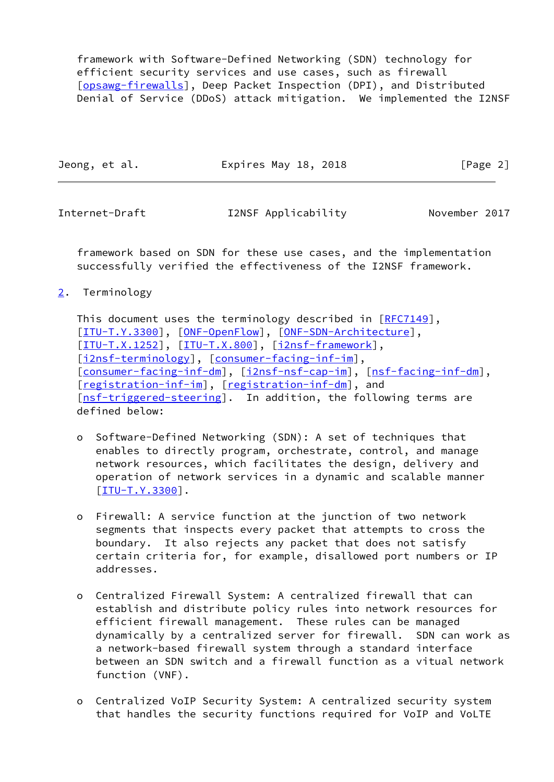framework with Software-Defined Networking (SDN) technology for efficient security services and use cases, such as firewall [\[opsawg-firewalls](#page-17-0)], Deep Packet Inspection (DPI), and Distributed Denial of Service (DDoS) attack mitigation. We implemented the I2NSF

| Jeong, et al. | Expires May 18, 2018 | [Page 2] |
|---------------|----------------------|----------|
|---------------|----------------------|----------|

<span id="page-2-1"></span>

Internet-Draft I2NSF Applicability November 2017

 framework based on SDN for these use cases, and the implementation successfully verified the effectiveness of the I2NSF framework.

<span id="page-2-0"></span>[2](#page-2-0). Terminology

This document uses the terminology described in [\[RFC7149](https://datatracker.ietf.org/doc/pdf/rfc7149)], [\[ITU-T.Y.3300](#page-16-0)], [\[ONF-OpenFlow](#page-17-1)], [\[ONF-SDN-Architecture](#page-17-2)], [\[ITU-T.X.1252](#page-16-1)], [\[ITU-T.X.800](#page-16-2)], [\[i2nsf-framework](#page-16-3)], [\[i2nsf-terminology](#page-16-4)], [\[consumer-facing-inf-im](#page-16-5)], [\[consumer-facing-inf-dm](#page-15-3)], [[i2nsf-nsf-cap-im\]](#page-16-6), [[nsf-facing-inf-dm\]](#page-17-3), [\[registration-inf-im](#page-17-4)], [\[registration-inf-dm](#page-17-5)], and [\[nsf-triggered-steering](#page-17-6)]. In addition, the following terms are defined below:

- o Software-Defined Networking (SDN): A set of techniques that enables to directly program, orchestrate, control, and manage network resources, which facilitates the design, delivery and operation of network services in a dynamic and scalable manner [[ITU-T.Y.3300\]](#page-16-0).
- o Firewall: A service function at the junction of two network segments that inspects every packet that attempts to cross the boundary. It also rejects any packet that does not satisfy certain criteria for, for example, disallowed port numbers or IP addresses.
- o Centralized Firewall System: A centralized firewall that can establish and distribute policy rules into network resources for efficient firewall management. These rules can be managed dynamically by a centralized server for firewall. SDN can work as a network-based firewall system through a standard interface between an SDN switch and a firewall function as a vitual network function (VNF).
- o Centralized VoIP Security System: A centralized security system that handles the security functions required for VoIP and VoLTE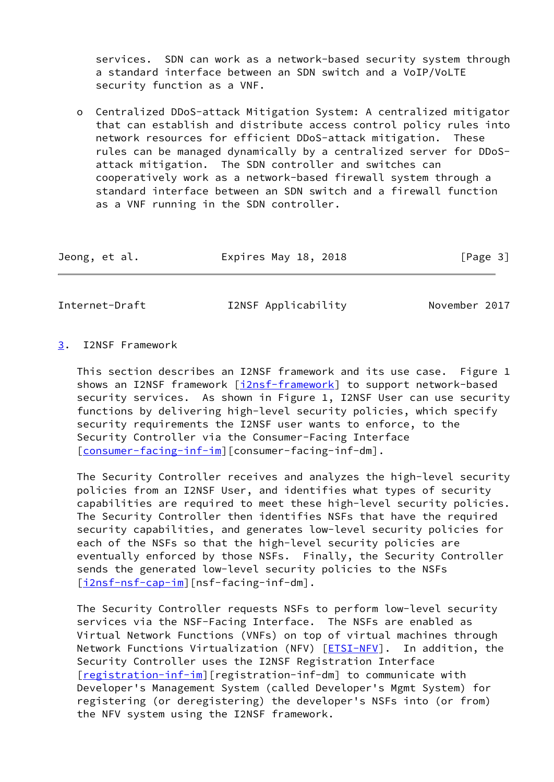services. SDN can work as a network-based security system through a standard interface between an SDN switch and a VoIP/VoLTE security function as a VNF.

 o Centralized DDoS-attack Mitigation System: A centralized mitigator that can establish and distribute access control policy rules into network resources for efficient DDoS-attack mitigation. These rules can be managed dynamically by a centralized server for DDoS attack mitigation. The SDN controller and switches can cooperatively work as a network-based firewall system through a standard interface between an SDN switch and a firewall function as a VNF running in the SDN controller.

| Jeong, et al. | Expires May 18, 2018<br>[Page 3] |  |
|---------------|----------------------------------|--|
|---------------|----------------------------------|--|

<span id="page-3-1"></span>Internet-Draft I2NSF Applicability November 2017

#### <span id="page-3-0"></span>[3](#page-3-0). I2NSF Framework

 This section describes an I2NSF framework and its use case. Figure 1 shows an I2NSF framework [\[i2nsf-framework](#page-16-3)] to support network-based security services. As shown in Figure 1, I2NSF User can use security functions by delivering high-level security policies, which specify security requirements the I2NSF user wants to enforce, to the Security Controller via the Consumer-Facing Interface [\[consumer-facing-inf-im](#page-16-5)][consumer-facing-inf-dm].

 The Security Controller receives and analyzes the high-level security policies from an I2NSF User, and identifies what types of security capabilities are required to meet these high-level security policies. The Security Controller then identifies NSFs that have the required security capabilities, and generates low-level security policies for each of the NSFs so that the high-level security policies are eventually enforced by those NSFs. Finally, the Security Controller sends the generated low-level security policies to the NSFs [\[i2nsf-nsf-cap-im](#page-16-6)][nsf-facing-inf-dm].

 The Security Controller requests NSFs to perform low-level security services via the NSF-Facing Interface. The NSFs are enabled as Virtual Network Functions (VNFs) on top of virtual machines through Network Functions Virtualization (NFV) [\[ETSI-NFV](#page-16-7)]. In addition, the Security Controller uses the I2NSF Registration Interface [\[registration-inf-im](#page-17-4)][registration-inf-dm] to communicate with Developer's Management System (called Developer's Mgmt System) for registering (or deregistering) the developer's NSFs into (or from) the NFV system using the I2NSF framework.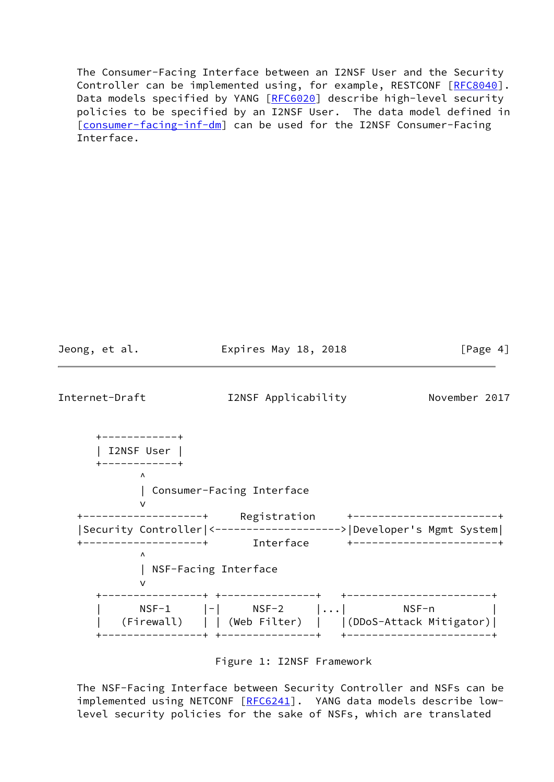The Consumer-Facing Interface between an I2NSF User and the Security Controller can be implemented using, for example, RESTCONF [[RFC8040\]](https://datatracker.ietf.org/doc/pdf/rfc8040). Data models specified by YANG [[RFC6020](https://datatracker.ietf.org/doc/pdf/rfc6020)] describe high-level security policies to be specified by an I2NSF User. The data model defined in [\[consumer-facing-inf-dm](#page-15-3)] can be used for the I2NSF Consumer-Facing Interface.

<span id="page-4-0"></span>Jeong, et al. **Expires May 18, 2018** [Page 4] Internet-Draft I2NSF Applicability November 2017 +------------+ | I2NSF User | +------------+  $\overline{\phantom{a}}$  | Consumer-Facing Interface version of the state of the state of the state of the state of the state of the state of the state of the state of the state of the state of the state of the state of the state of the state of the state of the state of the +-------------------+ Registration +-----------------------+ |Security Controller|<-------------------->|Developer's Mgmt System| +-------------------+ Interface +-----------------------+  $\overline{\phantom{a}}$  | NSF-Facing Interface version of the state of the state of the state of the state of the state of the state of the state of the state of the state of the state of the state of the state of the state of the state of the state of the state of the +----------------+ +---------------+ +-----------------------+ | NSF-1 |-| NSF-2 |...| NSF-n | | (Firewall) | | (Web Filter) | |(DDoS-Attack Mitigator)| +----------------+ +---------------+ +-----------------------+

Figure 1: I2NSF Framework

 The NSF-Facing Interface between Security Controller and NSFs can be implemented using NETCONF [[RFC6241](https://datatracker.ietf.org/doc/pdf/rfc6241)]. YANG data models describe lowlevel security policies for the sake of NSFs, which are translated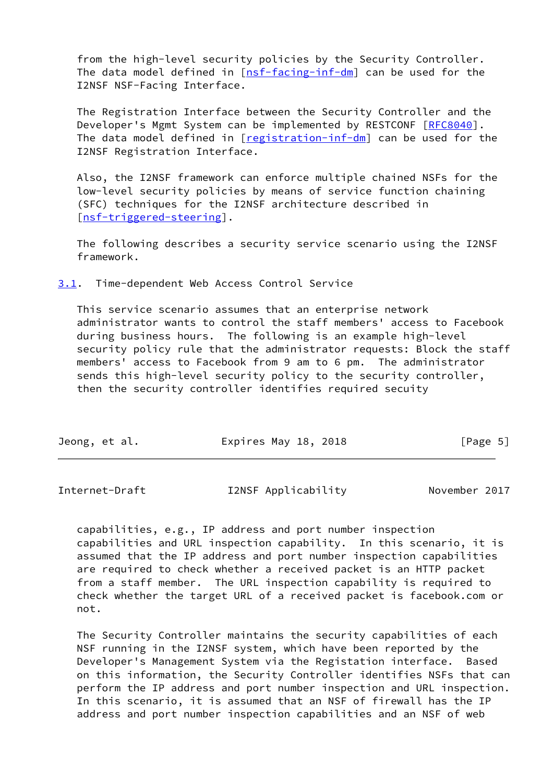from the high-level security policies by the Security Controller. The data model defined in  $[nsf-facing-inf-dm]$  $[nsf-facing-inf-dm]$  can be used for the I2NSF NSF-Facing Interface.

 The Registration Interface between the Security Controller and the Developer's Mgmt System can be implemented by RESTCONF [\[RFC8040](https://datatracker.ietf.org/doc/pdf/rfc8040)]. The data model defined in [[registration-inf-dm](#page-17-5)] can be used for the I2NSF Registration Interface.

 Also, the I2NSF framework can enforce multiple chained NSFs for the low-level security policies by means of service function chaining (SFC) techniques for the I2NSF architecture described in [\[nsf-triggered-steering](#page-17-6)].

 The following describes a security service scenario using the I2NSF framework.

<span id="page-5-0"></span>[3.1](#page-5-0). Time-dependent Web Access Control Service

 This service scenario assumes that an enterprise network administrator wants to control the staff members' access to Facebook during business hours. The following is an example high-level security policy rule that the administrator requests: Block the staff members' access to Facebook from 9 am to 6 pm. The administrator sends this high-level security policy to the security controller, then the security controller identifies required secuity

| Jeong, et al.<br>Expires May 18, 2018 | [Page 5] |
|---------------------------------------|----------|
|---------------------------------------|----------|

| Internet-Draft | I2NSF Applicability | November 2017 |
|----------------|---------------------|---------------|
|----------------|---------------------|---------------|

 capabilities, e.g., IP address and port number inspection capabilities and URL inspection capability. In this scenario, it is assumed that the IP address and port number inspection capabilities are required to check whether a received packet is an HTTP packet from a staff member. The URL inspection capability is required to check whether the target URL of a received packet is facebook.com or not.

 The Security Controller maintains the security capabilities of each NSF running in the I2NSF system, which have been reported by the Developer's Management System via the Registation interface. Based on this information, the Security Controller identifies NSFs that can perform the IP address and port number inspection and URL inspection. In this scenario, it is assumed that an NSF of firewall has the IP address and port number inspection capabilities and an NSF of web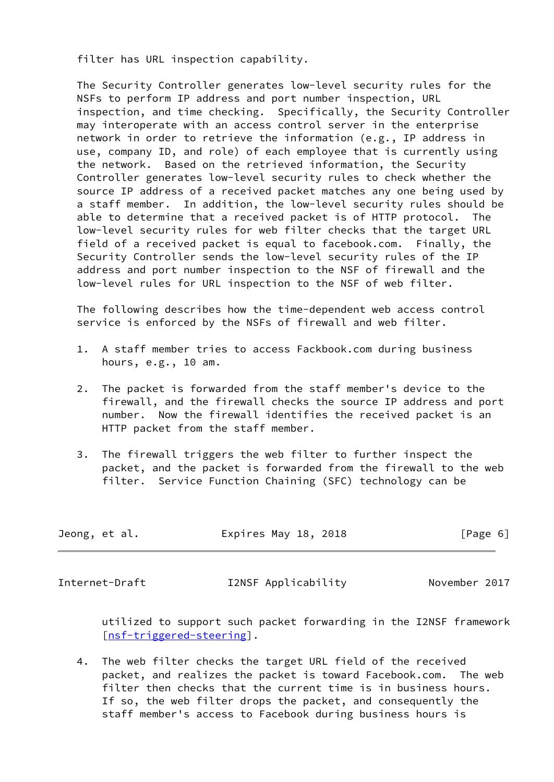filter has URL inspection capability.

 The Security Controller generates low-level security rules for the NSFs to perform IP address and port number inspection, URL inspection, and time checking. Specifically, the Security Controller may interoperate with an access control server in the enterprise network in order to retrieve the information (e.g., IP address in use, company ID, and role) of each employee that is currently using the network. Based on the retrieved information, the Security Controller generates low-level security rules to check whether the source IP address of a received packet matches any one being used by a staff member. In addition, the low-level security rules should be able to determine that a received packet is of HTTP protocol. The low-level security rules for web filter checks that the target URL field of a received packet is equal to facebook.com. Finally, the Security Controller sends the low-level security rules of the IP address and port number inspection to the NSF of firewall and the low-level rules for URL inspection to the NSF of web filter.

 The following describes how the time-dependent web access control service is enforced by the NSFs of firewall and web filter.

- 1. A staff member tries to access Fackbook.com during business hours, e.g., 10 am.
- 2. The packet is forwarded from the staff member's device to the firewall, and the firewall checks the source IP address and port number. Now the firewall identifies the received packet is an HTTP packet from the staff member.
- 3. The firewall triggers the web filter to further inspect the packet, and the packet is forwarded from the firewall to the web filter. Service Function Chaining (SFC) technology can be

| Jeong, et al. | Expires May 18, 2018 | [Page 6] |
|---------------|----------------------|----------|
|---------------|----------------------|----------|

<span id="page-6-0"></span>Internet-Draft I2NSF Applicability November 2017

 utilized to support such packet forwarding in the I2NSF framework [\[nsf-triggered-steering](#page-17-6)].

 4. The web filter checks the target URL field of the received packet, and realizes the packet is toward Facebook.com. The web filter then checks that the current time is in business hours. If so, the web filter drops the packet, and consequently the staff member's access to Facebook during business hours is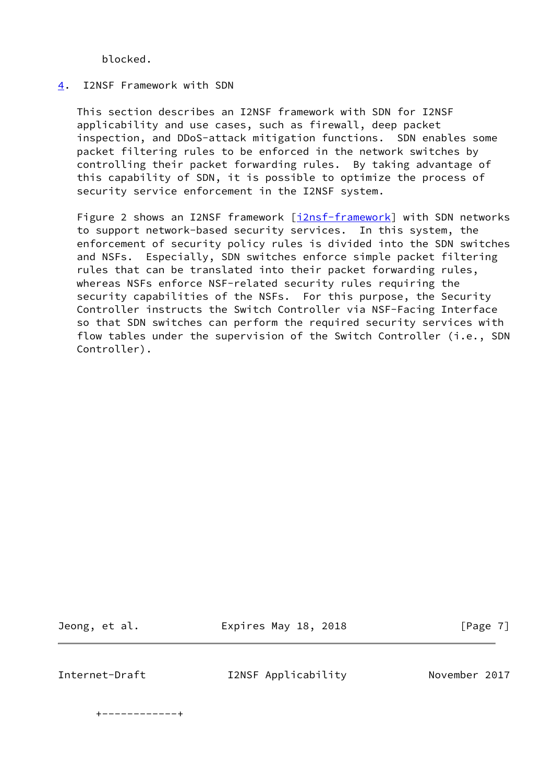blocked.

#### <span id="page-7-0"></span>[4](#page-7-0). I2NSF Framework with SDN

 This section describes an I2NSF framework with SDN for I2NSF applicability and use cases, such as firewall, deep packet inspection, and DDoS-attack mitigation functions. SDN enables some packet filtering rules to be enforced in the network switches by controlling their packet forwarding rules. By taking advantage of this capability of SDN, it is possible to optimize the process of security service enforcement in the I2NSF system.

 Figure 2 shows an I2NSF framework [[i2nsf-framework](#page-16-3)] with SDN networks to support network-based security services. In this system, the enforcement of security policy rules is divided into the SDN switches and NSFs. Especially, SDN switches enforce simple packet filtering rules that can be translated into their packet forwarding rules, whereas NSFs enforce NSF-related security rules requiring the security capabilities of the NSFs. For this purpose, the Security Controller instructs the Switch Controller via NSF-Facing Interface so that SDN switches can perform the required security services with flow tables under the supervision of the Switch Controller (i.e., SDN Controller).

Jeong, et al. **Expires May 18, 2018** [Page 7]

Internet-Draft I2NSF Applicability November 2017

+------------+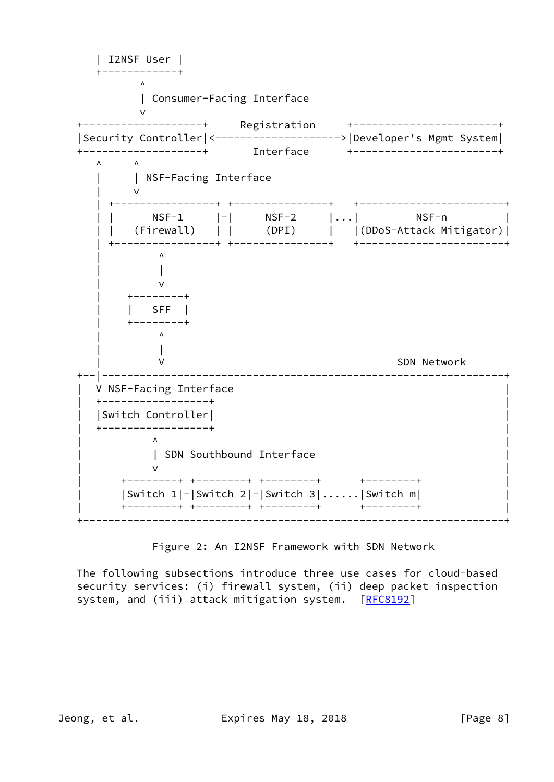

Figure 2: An I2NSF Framework with SDN Network

 The following subsections introduce three use cases for cloud-based security services: (i) firewall system, (ii) deep packet inspection system, and (iii) attack mitigation system. [\[RFC8192](https://datatracker.ietf.org/doc/pdf/rfc8192)]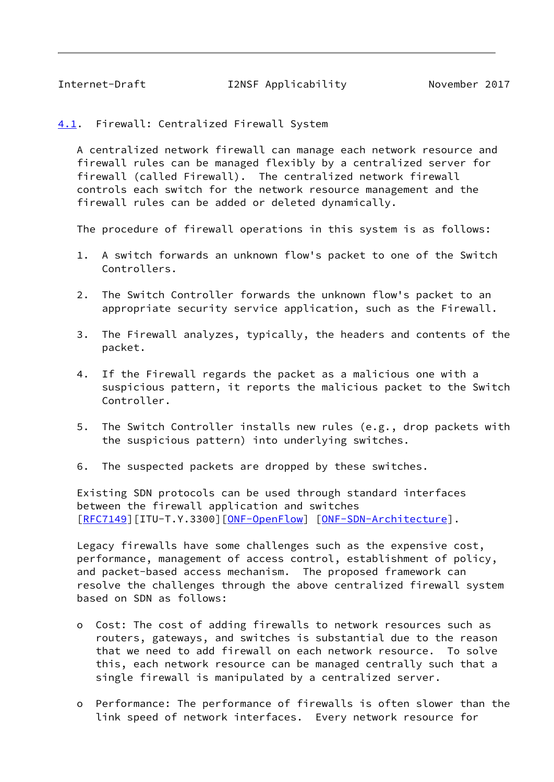<span id="page-9-1"></span><span id="page-9-0"></span>[4.1](#page-9-0). Firewall: Centralized Firewall System

 A centralized network firewall can manage each network resource and firewall rules can be managed flexibly by a centralized server for firewall (called Firewall). The centralized network firewall controls each switch for the network resource management and the firewall rules can be added or deleted dynamically.

The procedure of firewall operations in this system is as follows:

- 1. A switch forwards an unknown flow's packet to one of the Switch Controllers.
- 2. The Switch Controller forwards the unknown flow's packet to an appropriate security service application, such as the Firewall.
- 3. The Firewall analyzes, typically, the headers and contents of the packet.
- 4. If the Firewall regards the packet as a malicious one with a suspicious pattern, it reports the malicious packet to the Switch Controller.
- 5. The Switch Controller installs new rules (e.g., drop packets with the suspicious pattern) into underlying switches.
- 6. The suspected packets are dropped by these switches.

 Existing SDN protocols can be used through standard interfaces between the firewall application and switches [\[RFC7149](https://datatracker.ietf.org/doc/pdf/rfc7149)][ITU-T.Y.3300][\[ONF-OpenFlow](#page-17-1)] [[ONF-SDN-Architecture\]](#page-17-2).

 Legacy firewalls have some challenges such as the expensive cost, performance, management of access control, establishment of policy, and packet-based access mechanism. The proposed framework can resolve the challenges through the above centralized firewall system based on SDN as follows:

- o Cost: The cost of adding firewalls to network resources such as routers, gateways, and switches is substantial due to the reason that we need to add firewall on each network resource. To solve this, each network resource can be managed centrally such that a single firewall is manipulated by a centralized server.
- o Performance: The performance of firewalls is often slower than the link speed of network interfaces. Every network resource for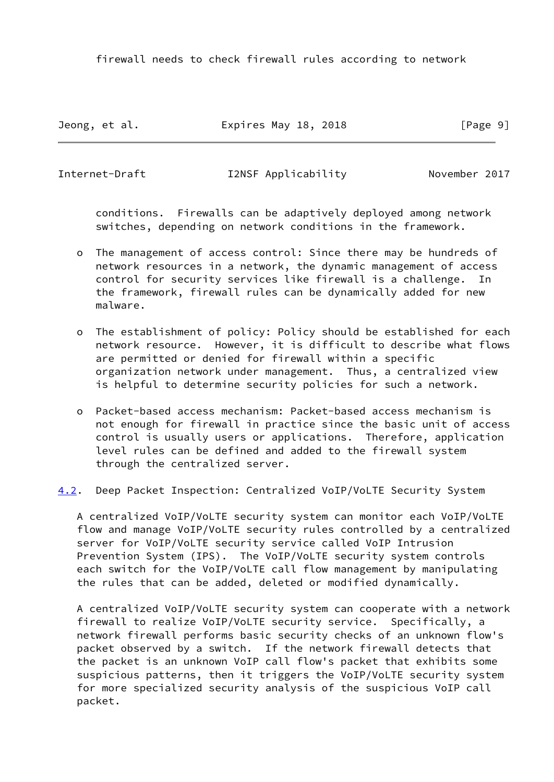firewall needs to check firewall rules according to network

Jeong, et al. **Expires May 18, 2018** [Page 9]

<span id="page-10-0"></span>Internet-Draft I2NSF Applicability November 2017

 conditions. Firewalls can be adaptively deployed among network switches, depending on network conditions in the framework.

- o The management of access control: Since there may be hundreds of network resources in a network, the dynamic management of access control for security services like firewall is a challenge. In the framework, firewall rules can be dynamically added for new malware.
- o The establishment of policy: Policy should be established for each network resource. However, it is difficult to describe what flows are permitted or denied for firewall within a specific organization network under management. Thus, a centralized view is helpful to determine security policies for such a network.
- o Packet-based access mechanism: Packet-based access mechanism is not enough for firewall in practice since the basic unit of access control is usually users or applications. Therefore, application level rules can be defined and added to the firewall system through the centralized server.

## <span id="page-10-1"></span>[4.2](#page-10-1). Deep Packet Inspection: Centralized VoIP/VoLTE Security System

 A centralized VoIP/VoLTE security system can monitor each VoIP/VoLTE flow and manage VoIP/VoLTE security rules controlled by a centralized server for VoIP/VoLTE security service called VoIP Intrusion Prevention System (IPS). The VoIP/VoLTE security system controls each switch for the VoIP/VoLTE call flow management by manipulating the rules that can be added, deleted or modified dynamically.

 A centralized VoIP/VoLTE security system can cooperate with a network firewall to realize VoIP/VoLTE security service. Specifically, a network firewall performs basic security checks of an unknown flow's packet observed by a switch. If the network firewall detects that the packet is an unknown VoIP call flow's packet that exhibits some suspicious patterns, then it triggers the VoIP/VoLTE security system for more specialized security analysis of the suspicious VoIP call packet.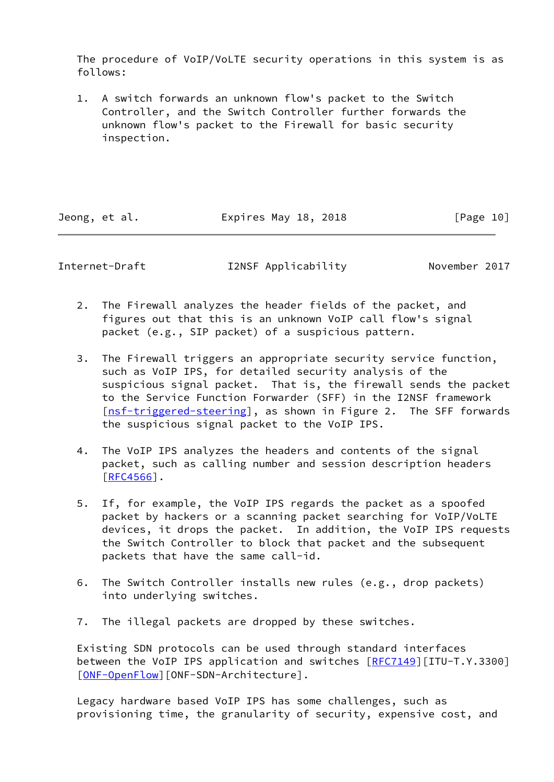The procedure of VoIP/VoLTE security operations in this system is as follows:

 1. A switch forwards an unknown flow's packet to the Switch Controller, and the Switch Controller further forwards the unknown flow's packet to the Firewall for basic security inspection.

Jeong, et al. **Expires May 18, 2018** [Page 10]

Internet-Draft I2NSF Applicability November 2017

- 2. The Firewall analyzes the header fields of the packet, and figures out that this is an unknown VoIP call flow's signal packet (e.g., SIP packet) of a suspicious pattern.
- 3. The Firewall triggers an appropriate security service function, such as VoIP IPS, for detailed security analysis of the suspicious signal packet. That is, the firewall sends the packet to the Service Function Forwarder (SFF) in the I2NSF framework [\[nsf-triggered-steering](#page-17-6)], as shown in Figure 2. The SFF forwards the suspicious signal packet to the VoIP IPS.
- 4. The VoIP IPS analyzes the headers and contents of the signal packet, such as calling number and session description headers  $[RFC4566]$  $[RFC4566]$ .
- 5. If, for example, the VoIP IPS regards the packet as a spoofed packet by hackers or a scanning packet searching for VoIP/VoLTE devices, it drops the packet. In addition, the VoIP IPS requests the Switch Controller to block that packet and the subsequent packets that have the same call-id.
- 6. The Switch Controller installs new rules (e.g., drop packets) into underlying switches.
- 7. The illegal packets are dropped by these switches.

 Existing SDN protocols can be used through standard interfaces between the VoIP IPS application and switches  $[RFC7149][ITU-T.Y.3300]$  $[RFC7149][ITU-T.Y.3300]$  $[RFC7149][ITU-T.Y.3300]$ [\[ONF-OpenFlow](#page-17-1)][ONF-SDN-Architecture].

 Legacy hardware based VoIP IPS has some challenges, such as provisioning time, the granularity of security, expensive cost, and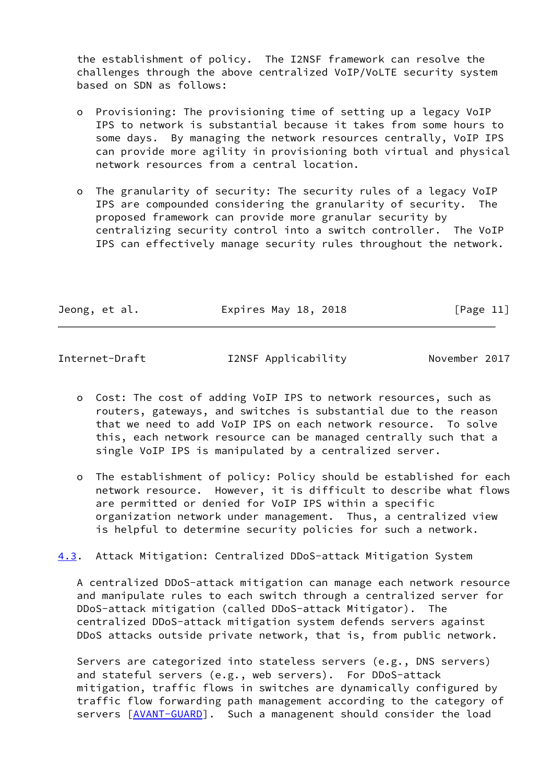the establishment of policy. The I2NSF framework can resolve the challenges through the above centralized VoIP/VoLTE security system based on SDN as follows:

- o Provisioning: The provisioning time of setting up a legacy VoIP IPS to network is substantial because it takes from some hours to some days. By managing the network resources centrally, VoIP IPS can provide more agility in provisioning both virtual and physical network resources from a central location.
- o The granularity of security: The security rules of a legacy VoIP IPS are compounded considering the granularity of security. The proposed framework can provide more granular security by centralizing security control into a switch controller. The VoIP IPS can effectively manage security rules throughout the network.

| Jeong, et al. | Expires May 18, 2018 | [Page 11] |
|---------------|----------------------|-----------|
|               |                      |           |

<span id="page-12-0"></span>Internet-Draft I2NSF Applicability November 2017

- o Cost: The cost of adding VoIP IPS to network resources, such as routers, gateways, and switches is substantial due to the reason that we need to add VoIP IPS on each network resource. To solve this, each network resource can be managed centrally such that a single VoIP IPS is manipulated by a centralized server.
- o The establishment of policy: Policy should be established for each network resource. However, it is difficult to describe what flows are permitted or denied for VoIP IPS within a specific organization network under management. Thus, a centralized view is helpful to determine security policies for such a network.

<span id="page-12-1"></span>[4.3](#page-12-1). Attack Mitigation: Centralized DDoS-attack Mitigation System

 A centralized DDoS-attack mitigation can manage each network resource and manipulate rules to each switch through a centralized server for DDoS-attack mitigation (called DDoS-attack Mitigator). The centralized DDoS-attack mitigation system defends servers against DDoS attacks outside private network, that is, from public network.

 Servers are categorized into stateless servers (e.g., DNS servers) and stateful servers (e.g., web servers). For DDoS-attack mitigation, traffic flows in switches are dynamically configured by traffic flow forwarding path management according to the category of servers [\[AVANT-GUARD](#page-15-4)]. Such a managenent should consider the load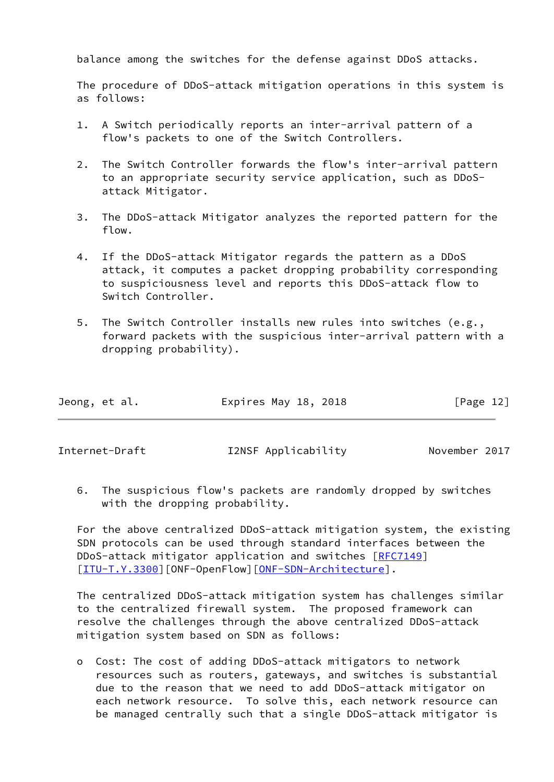balance among the switches for the defense against DDoS attacks.

 The procedure of DDoS-attack mitigation operations in this system is as follows:

- 1. A Switch periodically reports an inter-arrival pattern of a flow's packets to one of the Switch Controllers.
- 2. The Switch Controller forwards the flow's inter-arrival pattern to an appropriate security service application, such as DDoS attack Mitigator.
- 3. The DDoS-attack Mitigator analyzes the reported pattern for the flow.
- 4. If the DDoS-attack Mitigator regards the pattern as a DDoS attack, it computes a packet dropping probability corresponding to suspiciousness level and reports this DDoS-attack flow to Switch Controller.
- 5. The Switch Controller installs new rules into switches (e.g., forward packets with the suspicious inter-arrival pattern with a dropping probability).

| Jeong, et al.<br>Expires May 18, 2018 | [Page 12] |
|---------------------------------------|-----------|
|---------------------------------------|-----------|

Internet-Draft I2NSF Applicability November 2017

 6. The suspicious flow's packets are randomly dropped by switches with the dropping probability.

 For the above centralized DDoS-attack mitigation system, the existing SDN protocols can be used through standard interfaces between the DDoS-attack mitigator application and switches [\[RFC7149](https://datatracker.ietf.org/doc/pdf/rfc7149)] [\[ITU-T.Y.3300](#page-16-0)][ONF-OpenFlow][\[ONF-SDN-Architecture](#page-17-2)].

 The centralized DDoS-attack mitigation system has challenges similar to the centralized firewall system. The proposed framework can resolve the challenges through the above centralized DDoS-attack mitigation system based on SDN as follows:

 o Cost: The cost of adding DDoS-attack mitigators to network resources such as routers, gateways, and switches is substantial due to the reason that we need to add DDoS-attack mitigator on each network resource. To solve this, each network resource can be managed centrally such that a single DDoS-attack mitigator is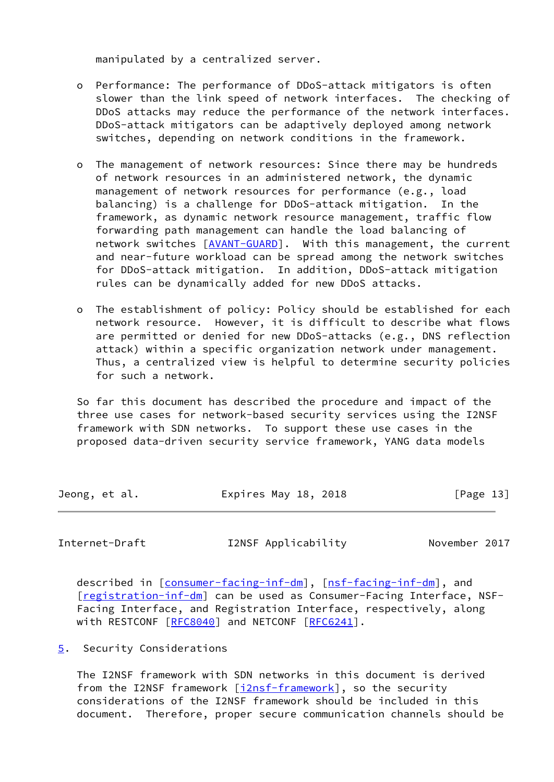manipulated by a centralized server.

- o Performance: The performance of DDoS-attack mitigators is often slower than the link speed of network interfaces. The checking of DDoS attacks may reduce the performance of the network interfaces. DDoS-attack mitigators can be adaptively deployed among network switches, depending on network conditions in the framework.
- o The management of network resources: Since there may be hundreds of network resources in an administered network, the dynamic management of network resources for performance (e.g., load balancing) is a challenge for DDoS-attack mitigation. In the framework, as dynamic network resource management, traffic flow forwarding path management can handle the load balancing of network switches [\[AVANT-GUARD](#page-15-4)]. With this management, the current and near-future workload can be spread among the network switches for DDoS-attack mitigation. In addition, DDoS-attack mitigation rules can be dynamically added for new DDoS attacks.
- o The establishment of policy: Policy should be established for each network resource. However, it is difficult to describe what flows are permitted or denied for new DDoS-attacks (e.g., DNS reflection attack) within a specific organization network under management. Thus, a centralized view is helpful to determine security policies for such a network.

 So far this document has described the procedure and impact of the three use cases for network-based security services using the I2NSF framework with SDN networks. To support these use cases in the proposed data-driven security service framework, YANG data models

| Jeong, et al. | Expires May 18, 2018 | [Page 13] |
|---------------|----------------------|-----------|
|               |                      |           |

<span id="page-14-1"></span>Internet-Draft I2NSF Applicability November 2017

described in [\[consumer-facing-inf-dm](#page-15-3)], [\[nsf-facing-inf-dm](#page-17-3)], and [\[registration-inf-dm](#page-17-5)] can be used as Consumer-Facing Interface, NSF- Facing Interface, and Registration Interface, respectively, along with RESTCONF [[RFC8040](https://datatracker.ietf.org/doc/pdf/rfc8040)] and NETCONF [\[RFC6241](https://datatracker.ietf.org/doc/pdf/rfc6241)].

<span id="page-14-0"></span>[5](#page-14-0). Security Considerations

 The I2NSF framework with SDN networks in this document is derived from the I2NSF framework [\[i2nsf-framework](#page-16-3)], so the security considerations of the I2NSF framework should be included in this document. Therefore, proper secure communication channels should be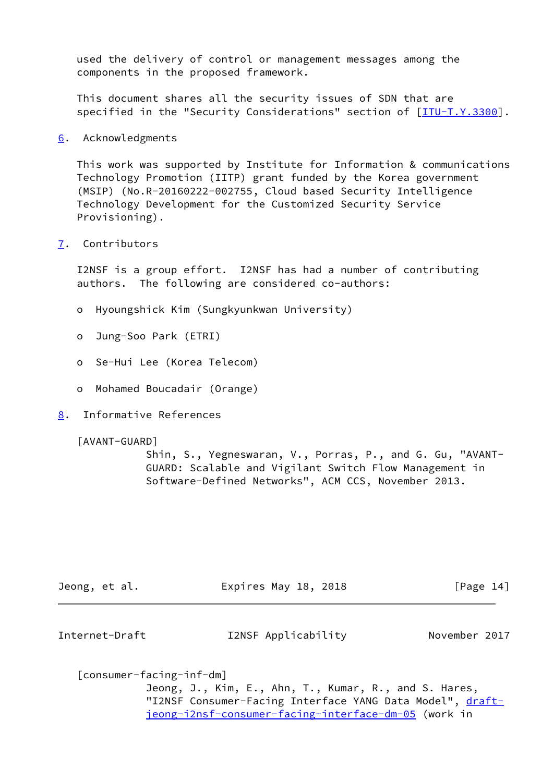used the delivery of control or management messages among the components in the proposed framework.

 This document shares all the security issues of SDN that are specified in the "Security Considerations" section of [[ITU-T.Y.3300\]](#page-16-0).

<span id="page-15-0"></span>[6](#page-15-0). Acknowledgments

 This work was supported by Institute for Information & communications Technology Promotion (IITP) grant funded by the Korea government (MSIP) (No.R-20160222-002755, Cloud based Security Intelligence Technology Development for the Customized Security Service Provisioning).

<span id="page-15-1"></span>[7](#page-15-1). Contributors

 I2NSF is a group effort. I2NSF has had a number of contributing authors. The following are considered co-authors:

- o Hyoungshick Kim (Sungkyunkwan University)
- o Jung-Soo Park (ETRI)
- o Se-Hui Lee (Korea Telecom)
- o Mohamed Boucadair (Orange)
- <span id="page-15-2"></span>[8](#page-15-2). Informative References

<span id="page-15-4"></span>[AVANT-GUARD]

 Shin, S., Yegneswaran, V., Porras, P., and G. Gu, "AVANT- GUARD: Scalable and Vigilant Switch Flow Management in Software-Defined Networks", ACM CCS, November 2013.

| Jeong, et al. | Expires May 18, 2018 | [Page 14] |
|---------------|----------------------|-----------|
|               |                      |           |

Internet-Draft I2NSF Applicability November 2017

<span id="page-15-3"></span>[consumer-facing-inf-dm]

 Jeong, J., Kim, E., Ahn, T., Kumar, R., and S. Hares, "I2NSF Consumer-Facing Interface YANG Data Model", [draft](https://datatracker.ietf.org/doc/pdf/draft-jeong-i2nsf-consumer-facing-interface-dm-05)[jeong-i2nsf-consumer-facing-interface-dm-05](https://datatracker.ietf.org/doc/pdf/draft-jeong-i2nsf-consumer-facing-interface-dm-05) (work in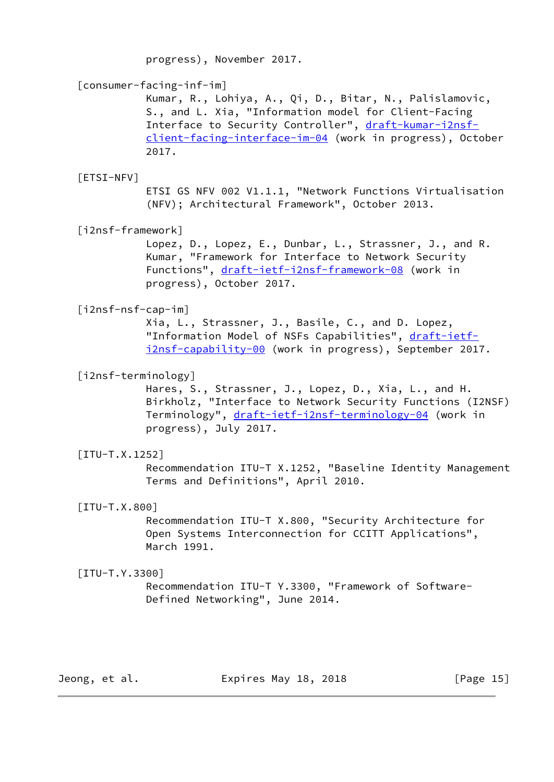progress), November 2017.

# <span id="page-16-5"></span>[consumer-facing-inf-im]

 Kumar, R., Lohiya, A., Qi, D., Bitar, N., Palislamovic, S., and L. Xia, "Information model for Client-Facing Interface to Security Controller", [draft-kumar-i2nsf](https://datatracker.ietf.org/doc/pdf/draft-kumar-i2nsf-client-facing-interface-im-04) [client-facing-interface-im-04](https://datatracker.ietf.org/doc/pdf/draft-kumar-i2nsf-client-facing-interface-im-04) (work in progress), October 2017.

# <span id="page-16-7"></span>[ETSI-NFV]

 ETSI GS NFV 002 V1.1.1, "Network Functions Virtualisation (NFV); Architectural Framework", October 2013.

<span id="page-16-3"></span>[i2nsf-framework]

 Lopez, D., Lopez, E., Dunbar, L., Strassner, J., and R. Kumar, "Framework for Interface to Network Security Functions", [draft-ietf-i2nsf-framework-08](https://datatracker.ietf.org/doc/pdf/draft-ietf-i2nsf-framework-08) (work in progress), October 2017.

# <span id="page-16-6"></span>[i2nsf-nsf-cap-im]

 Xia, L., Strassner, J., Basile, C., and D. Lopez, "Information Model of NSFs Capabilities", [draft-ietf](https://datatracker.ietf.org/doc/pdf/draft-ietf-i2nsf-capability-00) [i2nsf-capability-00](https://datatracker.ietf.org/doc/pdf/draft-ietf-i2nsf-capability-00) (work in progress), September 2017.

# <span id="page-16-4"></span>[i2nsf-terminology]

 Hares, S., Strassner, J., Lopez, D., Xia, L., and H. Birkholz, "Interface to Network Security Functions (I2NSF) Terminology", [draft-ietf-i2nsf-terminology-04](https://datatracker.ietf.org/doc/pdf/draft-ietf-i2nsf-terminology-04) (work in progress), July 2017.

## <span id="page-16-1"></span> $[TTU-T.X.1252]$

 Recommendation ITU-T X.1252, "Baseline Identity Management Terms and Definitions", April 2010.

## <span id="page-16-2"></span>[ITU-T.X.800]

 Recommendation ITU-T X.800, "Security Architecture for Open Systems Interconnection for CCITT Applications", March 1991.

## <span id="page-16-0"></span> $[TU-T.Y.3300]$

 Recommendation ITU-T Y.3300, "Framework of Software- Defined Networking", June 2014.

Jeong, et al. **Expires May 18, 2018** [Page 15]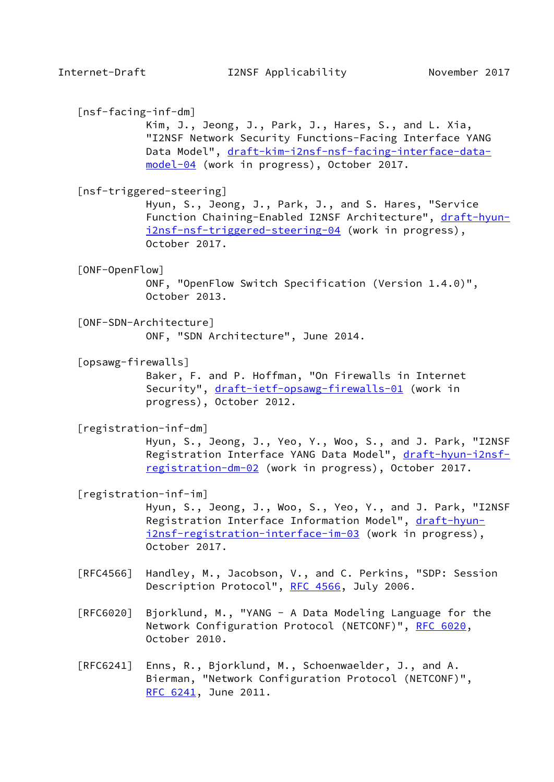<span id="page-17-6"></span><span id="page-17-3"></span><span id="page-17-2"></span><span id="page-17-1"></span><span id="page-17-0"></span> [nsf-facing-inf-dm] Kim, J., Jeong, J., Park, J., Hares, S., and L. Xia, "I2NSF Network Security Functions-Facing Interface YANG Data Model", [draft-kim-i2nsf-nsf-facing-interface-data](https://datatracker.ietf.org/doc/pdf/draft-kim-i2nsf-nsf-facing-interface-data-model-04) [model-04](https://datatracker.ietf.org/doc/pdf/draft-kim-i2nsf-nsf-facing-interface-data-model-04) (work in progress), October 2017. [nsf-triggered-steering] Hyun, S., Jeong, J., Park, J., and S. Hares, "Service Function Chaining-Enabled I2NSF Architecture", [draft-hyun](https://datatracker.ietf.org/doc/pdf/draft-hyun-i2nsf-nsf-triggered-steering-04) [i2nsf-nsf-triggered-steering-04](https://datatracker.ietf.org/doc/pdf/draft-hyun-i2nsf-nsf-triggered-steering-04) (work in progress), October 2017. [ONF-OpenFlow] ONF, "OpenFlow Switch Specification (Version 1.4.0)", October 2013. [ONF-SDN-Architecture] ONF, "SDN Architecture", June 2014. [opsawg-firewalls] Baker, F. and P. Hoffman, "On Firewalls in Internet Security", [draft-ietf-opsawg-firewalls-01](https://datatracker.ietf.org/doc/pdf/draft-ietf-opsawg-firewalls-01) (work in progress), October 2012. [registration-inf-dm] Hyun, S., Jeong, J., Yeo, Y., Woo, S., and J. Park, "I2NSF Registration Interface YANG Data Model", [draft-hyun-i2nsf](https://datatracker.ietf.org/doc/pdf/draft-hyun-i2nsf-registration-dm-02) [registration-dm-02](https://datatracker.ietf.org/doc/pdf/draft-hyun-i2nsf-registration-dm-02) (work in progress), October 2017. [registration-inf-im] Hyun, S., Jeong, J., Woo, S., Yeo, Y., and J. Park, "I2NSF Registration Interface Information Model", [draft-hyun](https://datatracker.ietf.org/doc/pdf/draft-hyun-i2nsf-registration-interface-im-03) [i2nsf-registration-interface-im-03](https://datatracker.ietf.org/doc/pdf/draft-hyun-i2nsf-registration-interface-im-03) (work in progress), October 2017. [RFC4566] Handley, M., Jacobson, V., and C. Perkins, "SDP: Session Description Protocol", [RFC 4566](https://datatracker.ietf.org/doc/pdf/rfc4566), July 2006. [RFC6020] Bjorklund, M., "YANG - A Data Modeling Language for the Network Configuration Protocol (NETCONF)", [RFC 6020](https://datatracker.ietf.org/doc/pdf/rfc6020), October 2010. [RFC6241] Enns, R., Bjorklund, M., Schoenwaelder, J., and A.

<span id="page-17-5"></span><span id="page-17-4"></span> Bierman, "Network Configuration Protocol (NETCONF)", [RFC 6241,](https://datatracker.ietf.org/doc/pdf/rfc6241) June 2011.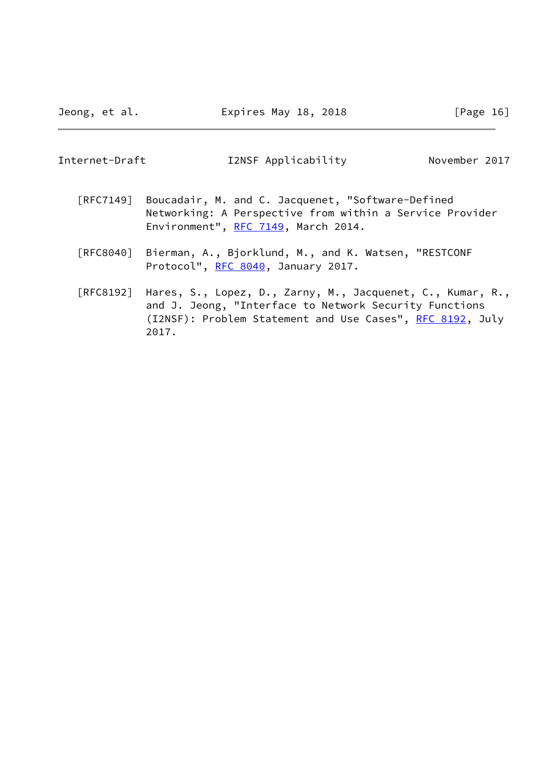Jeong, et al. **Expires May 18, 2018** [Page 16]

| Internet-Draft | I2NSF Applicability | November 2017 |
|----------------|---------------------|---------------|
|----------------|---------------------|---------------|

- [RFC7149] Boucadair, M. and C. Jacquenet, "Software-Defined Networking: A Perspective from within a Service Provider Environment", [RFC 7149](https://datatracker.ietf.org/doc/pdf/rfc7149), March 2014.
- [RFC8040] Bierman, A., Bjorklund, M., and K. Watsen, "RESTCONF Protocol", [RFC 8040](https://datatracker.ietf.org/doc/pdf/rfc8040), January 2017.
- [RFC8192] Hares, S., Lopez, D., Zarny, M., Jacquenet, C., Kumar, R., and J. Jeong, "Interface to Network Security Functions (I2NSF): Problem Statement and Use Cases", [RFC 8192](https://datatracker.ietf.org/doc/pdf/rfc8192), July 2017.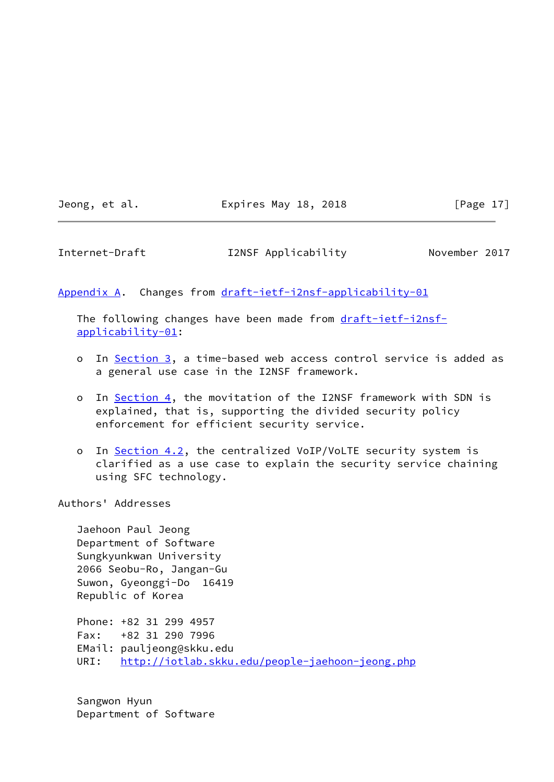Jeong, et al. **Expires May 18, 2018** [Page 17]

<span id="page-19-1"></span>Internet-Draft I2NSF Applicability November 2017

<span id="page-19-0"></span>[Appendix A.](#page-19-0) Changes from [draft-ietf-i2nsf-applicability-01](https://datatracker.ietf.org/doc/pdf/draft-ietf-i2nsf-applicability-01)

 The following changes have been made from [draft-ietf-i2nsf](https://datatracker.ietf.org/doc/pdf/draft-ietf-i2nsf-applicability-01) [applicability-01](https://datatracker.ietf.org/doc/pdf/draft-ietf-i2nsf-applicability-01):

- o In [Section 3,](#page-3-0) a time-based web access control service is added as a general use case in the I2NSF framework.
- o In [Section 4,](#page-7-0) the movitation of the I2NSF framework with SDN is explained, that is, supporting the divided security policy enforcement for efficient security service.
- o In [Section 4.2](#page-10-1), the centralized VoIP/VoLTE security system is clarified as a use case to explain the security service chaining using SFC technology.

Authors' Addresses

 Jaehoon Paul Jeong Department of Software Sungkyunkwan University 2066 Seobu-Ro, Jangan-Gu Suwon, Gyeonggi-Do 16419 Republic of Korea

 Phone: +82 31 299 4957 Fax: +82 31 290 7996 EMail: pauljeong@skku.edu URI: <http://iotlab.skku.edu/people-jaehoon-jeong.php>

 Sangwon Hyun Department of Software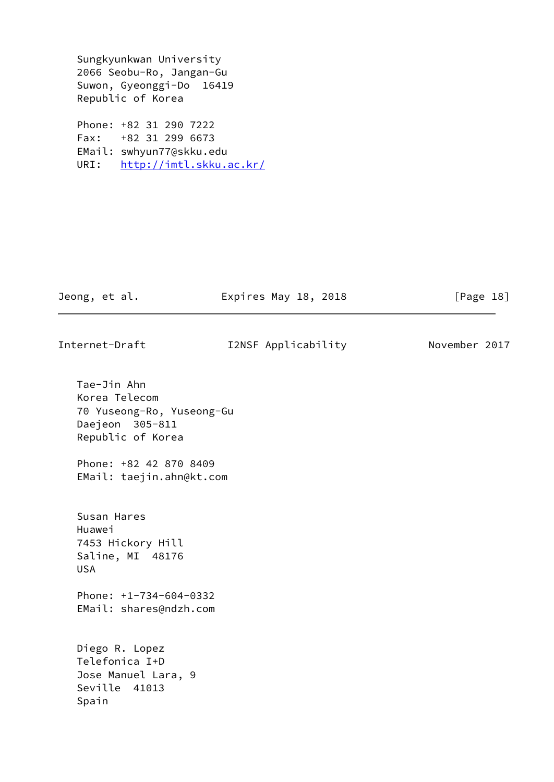Sungkyunkwan University 2066 Seobu-Ro, Jangan-Gu Suwon, Gyeonggi-Do 16419 Republic of Korea

 Phone: +82 31 290 7222 Fax: +82 31 299 6673 EMail: swhyun77@skku.edu URI: <http://imtl.skku.ac.kr/>

Jeong, et al. **Expires May 18, 2018** [Page 18]

| Internet-Draft |  |  |
|----------------|--|--|
|                |  |  |

I2NSF Applicability Movember 2017

 Tae-Jin Ahn Korea Telecom 70 Yuseong-Ro, Yuseong-Gu Daejeon 305-811 Republic of Korea Phone: +82 42 870 8409 EMail: taejin.ahn@kt.com Susan Hares Huawei 7453 Hickory Hill Saline, MI 48176 USA Phone: +1-734-604-0332 EMail: shares@ndzh.com Diego R. Lopez Telefonica I+D Jose Manuel Lara, 9 Seville 41013 Spain